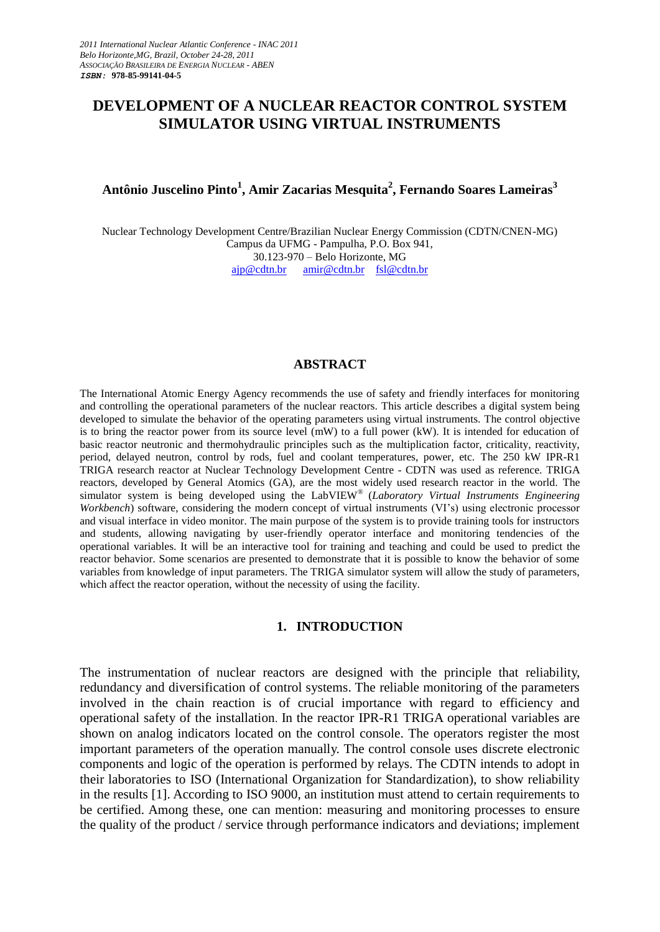# **DEVELOPMENT OF A NUCLEAR REACTOR CONTROL SYSTEM SIMULATOR USING VIRTUAL INSTRUMENTS**

# **Antônio Juscelino Pinto<sup>1</sup> , Amir Zacarias Mesquita<sup>2</sup> , Fernando Soares Lameiras<sup>3</sup>**

Nuclear Technology Development Centre/Brazilian Nuclear Energy Commission (CDTN/CNEN-MG) Campus da UFMG - Pampulha, P.O. Box 941, 30.123-970 – Belo Horizonte, MG ajp@cdtn.br amir@cdtn.br [fsl@cdtn.br](mailto:fsl@cdtn.br)

#### **ABSTRACT**

The International Atomic Energy Agency recommends the use of safety and friendly interfaces for monitoring and controlling the operational parameters of the nuclear reactors. This article describes a digital system being developed to simulate the behavior of the operating parameters using virtual instruments. The control objective is to bring the reactor power from its source level (mW) to a full power (kW). It is intended for education of basic reactor neutronic and thermohydraulic principles such as the multiplication factor, criticality, reactivity, period, delayed neutron, control by rods, fuel and coolant temperatures, power, etc. The 250 kW IPR-R1 TRIGA research reactor at Nuclear Technology Development Centre - CDTN was used as reference. TRIGA reactors, developed by General Atomics (GA), are the most widely used research reactor in the world. The simulator system is being developed using the LabVIEW® (*Laboratory Virtual Instruments Engineering Workbench*) software, considering the modern concept of virtual instruments (VI's) using electronic processor and visual interface in video monitor. The main purpose of the system is to provide training tools for instructors and students, allowing navigating by user-friendly operator interface and monitoring tendencies of the operational variables. It will be an interactive tool for training and teaching and could be used to predict the reactor behavior. Some scenarios are presented to demonstrate that it is possible to know the behavior of some variables from knowledge of input parameters. The TRIGA simulator system will allow the study of parameters, which affect the reactor operation, without the necessity of using the facility.

#### **1. INTRODUCTION**

The instrumentation of nuclear reactors are designed with the principle that reliability, redundancy and diversification of control systems. The reliable monitoring of the parameters involved in the chain reaction is of crucial importance with regard to efficiency and operational safety of the installation. In the reactor IPR-R1 TRIGA operational variables are shown on analog indicators located on the control console. The operators register the most important parameters of the operation manually. The control console uses discrete electronic components and logic of the operation is performed by relays. The CDTN intends to adopt in their laboratories to ISO (International Organization for Standardization), to show reliability in the results [1]. According to ISO 9000, an institution must attend to certain requirements to be certified. Among these, one can mention: measuring and monitoring processes to ensure the quality of the product / service through performance indicators and deviations; implement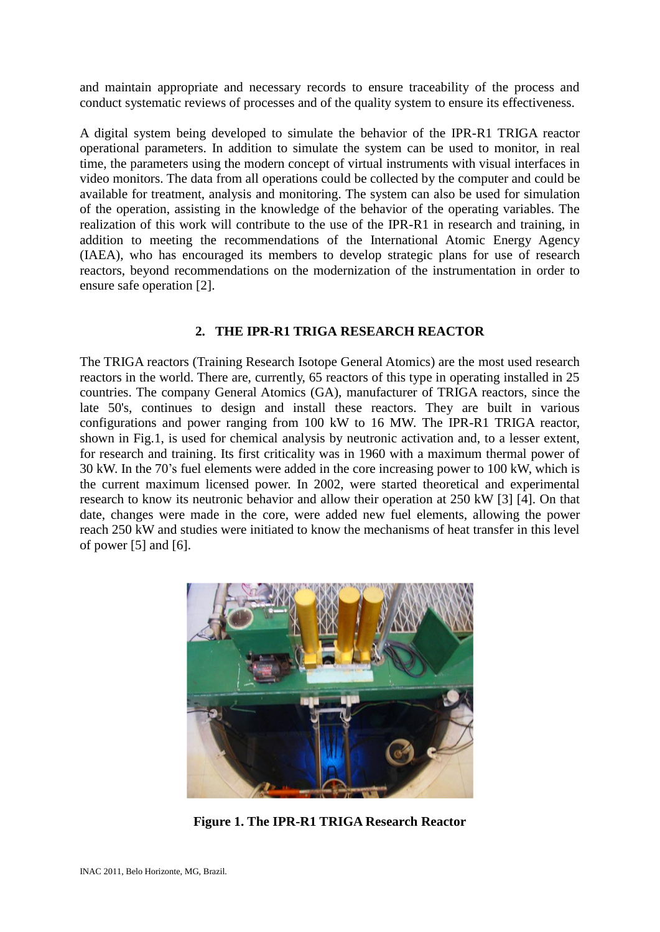and maintain appropriate and necessary records to ensure traceability of the process and conduct systematic reviews of processes and of the quality system to ensure its effectiveness.

A digital system being developed to simulate the behavior of the IPR-R1 TRIGA reactor operational parameters. In addition to simulate the system can be used to monitor, in real time, the parameters using the modern concept of virtual instruments with visual interfaces in video monitors. The data from all operations could be collected by the computer and could be available for treatment, analysis and monitoring. The system can also be used for simulation of the operation, assisting in the knowledge of the behavior of the operating variables. The realization of this work will contribute to the use of the IPR-R1 in research and training, in addition to meeting the recommendations of the International Atomic Energy Agency (IAEA), who has encouraged its members to develop strategic plans for use of research reactors, beyond recommendations on the modernization of the instrumentation in order to ensure safe operation [2].

## **2. THE IPR-R1 TRIGA RESEARCH REACTOR**

The TRIGA reactors (Training Research Isotope General Atomics) are the most used research reactors in the world. There are, currently, 65 reactors of this type in operating installed in 25 countries. The company General Atomics (GA), manufacturer of TRIGA reactors, since the late 50's, continues to design and install these reactors. They are built in various configurations and power ranging from 100 kW to 16 MW. The IPR-R1 TRIGA reactor, shown in Fig.1, is used for chemical analysis by neutronic activation and, to a lesser extent, for research and training. Its first criticality was in 1960 with a maximum thermal power of 30 kW. In the 70's fuel elements were added in the core increasing power to 100 kW, which is the current maximum licensed power. In 2002, were started theoretical and experimental research to know its neutronic behavior and allow their operation at 250 kW [3] [4]. On that date, changes were made in the core, were added new fuel elements, allowing the power reach 250 kW and studies were initiated to know the mechanisms of heat transfer in this level of power [5] and [6].



**Figure 1. The IPR-R1 TRIGA Research Reactor**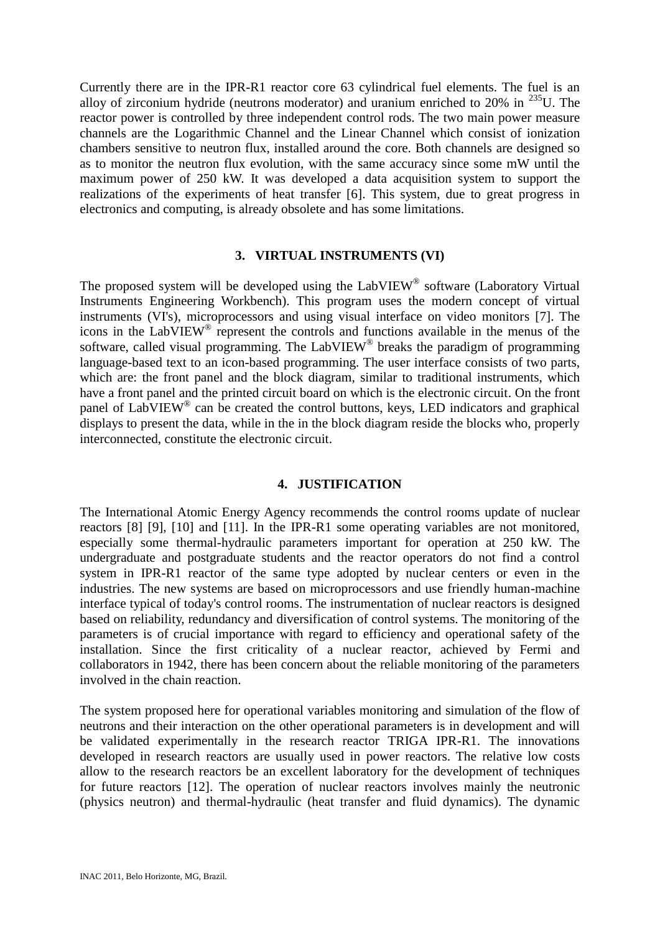Currently there are in the IPR-R1 reactor core 63 cylindrical fuel elements. The fuel is an alloy of zirconium hydride (neutrons moderator) and uranium enriched to  $20\%$  in  $235$ U. The reactor power is controlled by three independent control rods. The two main power measure channels are the Logarithmic Channel and the Linear Channel which consist of ionization chambers sensitive to neutron flux, installed around the core. Both channels are designed so as to monitor the neutron flux evolution, with the same accuracy since some mW until the maximum power of 250 kW. It was developed a data acquisition system to support the realizations of the experiments of heat transfer [6]. This system, due to great progress in electronics and computing, is already obsolete and has some limitations.

## **3. VIRTUAL INSTRUMENTS (VI)**

The proposed system will be developed using the LabVIEW® software (Laboratory Virtual Instruments Engineering Workbench). This program uses the modern concept of virtual instruments (VI's), microprocessors and using visual interface on video monitors [7]. The icons in the LabVIEW® represent the controls and functions available in the menus of the software, called visual programming. The LabVIEW® breaks the paradigm of programming language-based text to an icon-based programming. The user interface consists of two parts, which are: the front panel and the block diagram, similar to traditional instruments, which have a front panel and the printed circuit board on which is the electronic circuit. On the front panel of LabVIEW® can be created the control buttons, keys, LED indicators and graphical displays to present the data, while in the in the block diagram reside the blocks who, properly interconnected, constitute the electronic circuit.

## **4. JUSTIFICATION**

The International Atomic Energy Agency recommends the control rooms update of nuclear reactors [8] [9], [10] and [11]. In the IPR-R1 some operating variables are not monitored, especially some thermal-hydraulic parameters important for operation at 250 kW. The undergraduate and postgraduate students and the reactor operators do not find a control system in IPR-R1 reactor of the same type adopted by nuclear centers or even in the industries. The new systems are based on microprocessors and use friendly human-machine interface typical of today's control rooms. The instrumentation of nuclear reactors is designed based on reliability, redundancy and diversification of control systems. The monitoring of the parameters is of crucial importance with regard to efficiency and operational safety of the installation. Since the first criticality of a nuclear reactor, achieved by Fermi and collaborators in 1942, there has been concern about the reliable monitoring of the parameters involved in the chain reaction.

The system proposed here for operational variables monitoring and simulation of the flow of neutrons and their interaction on the other operational parameters is in development and will be validated experimentally in the research reactor TRIGA IPR-R1. The innovations developed in research reactors are usually used in power reactors. The relative low costs allow to the research reactors be an excellent laboratory for the development of techniques for future reactors [12]. The operation of nuclear reactors involves mainly the neutronic (physics neutron) and thermal-hydraulic (heat transfer and fluid dynamics). The dynamic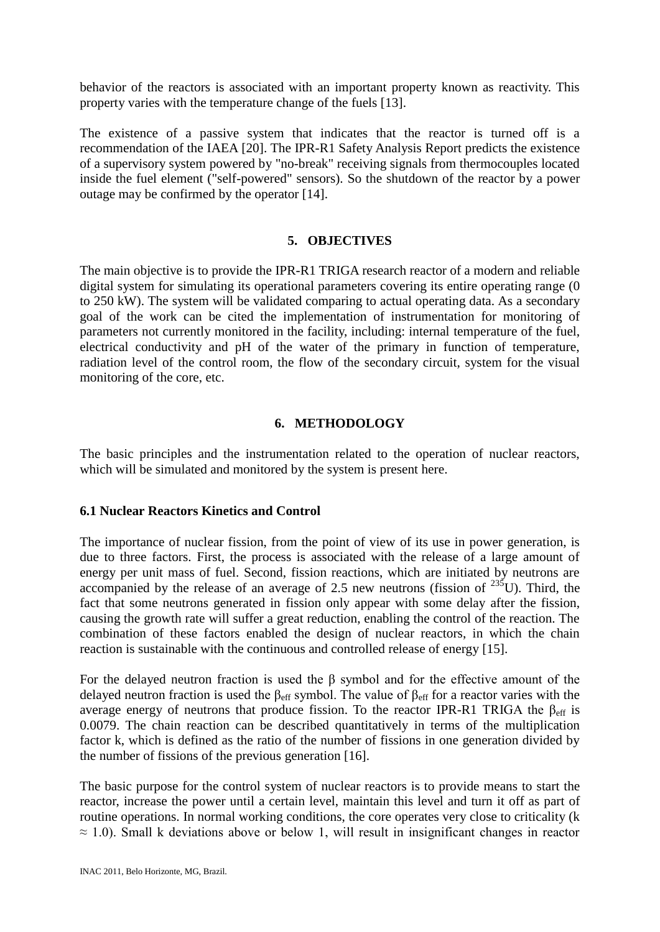behavior of the reactors is associated with an important property known as reactivity. This property varies with the temperature change of the fuels [13].

The existence of a passive system that indicates that the reactor is turned off is a recommendation of the IAEA [20]. The IPR-R1 Safety Analysis Report predicts the existence of a supervisory system powered by "no-break" receiving signals from thermocouples located inside the fuel element ("self-powered" sensors). So the shutdown of the reactor by a power outage may be confirmed by the operator [14].

#### **5. OBJECTIVES**

The main objective is to provide the IPR-R1 TRIGA research reactor of a modern and reliable digital system for simulating its operational parameters covering its entire operating range (0) to 250 kW). The system will be validated comparing to actual operating data. As a secondary goal of the work can be cited the implementation of instrumentation for monitoring of parameters not currently monitored in the facility, including: internal temperature of the fuel, electrical conductivity and pH of the water of the primary in function of temperature, radiation level of the control room, the flow of the secondary circuit, system for the visual monitoring of the core, etc.

## **6. METHODOLOGY**

The basic principles and the instrumentation related to the operation of nuclear reactors, which will be simulated and monitored by the system is present here.

#### **6.1 Nuclear Reactors Kinetics and Control**

The importance of nuclear fission, from the point of view of its use in power generation, is due to three factors. First, the process is associated with the release of a large amount of energy per unit mass of fuel. Second, fission reactions, which are initiated by neutrons are accompanied by the release of an average of 2.5 new neutrons (fission of  $^{235}$ U). Third, the fact that some neutrons generated in fission only appear with some delay after the fission, causing the growth rate will suffer a great reduction, enabling the control of the reaction. The combination of these factors enabled the design of nuclear reactors, in which the chain reaction is sustainable with the continuous and controlled release of energy [15].

For the delayed neutron fraction is used the β symbol and for the effective amount of the delayed neutron fraction is used the  $\beta_{\text{eff}}$  symbol. The value of  $\beta_{\text{eff}}$  for a reactor varies with the average energy of neutrons that produce fission. To the reactor IPR-R1 TRIGA the  $\beta_{\text{eff}}$  is 0.0079. The chain reaction can be described quantitatively in terms of the multiplication factor k, which is defined as the ratio of the number of fissions in one generation divided by the number of fissions of the previous generation [16].

The basic purpose for the control system of nuclear reactors is to provide means to start the reactor, increase the power until a certain level, maintain this level and turn it off as part of routine operations. In normal working conditions, the core operates very close to criticality (k  $\approx$  1.0). Small k deviations above or below 1, will result in insignificant changes in reactor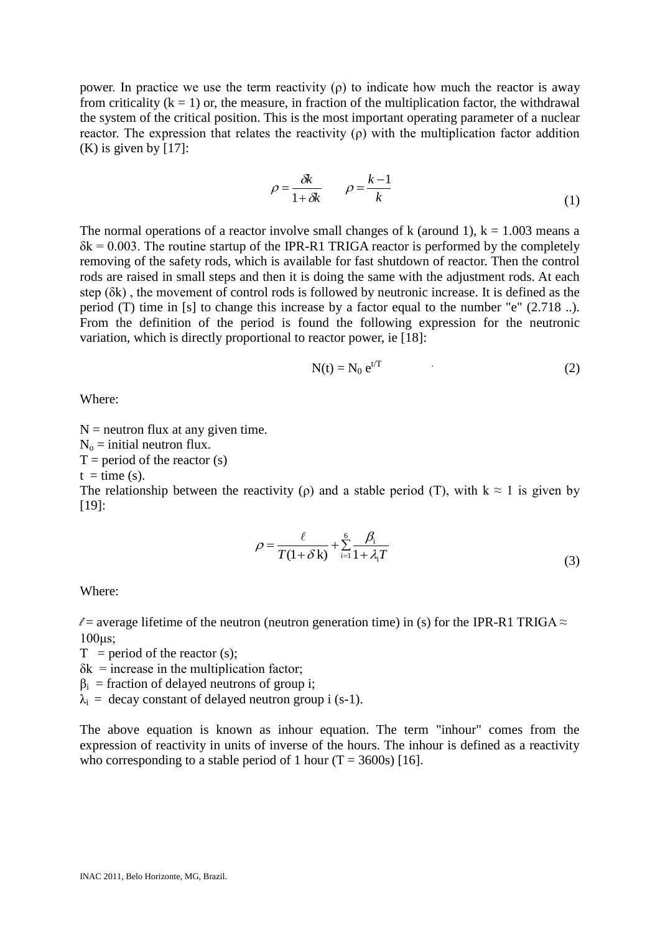power. In practice we use the term reactivity (ρ) to indicate how much the reactor is away from criticality  $(k = 1)$  or, the measure, in fraction of the multiplication factor, the withdrawal the system of the critical position. This is the most important operating parameter of a nuclear reactor. The expression that relates the reactivity  $(\rho)$  with the multiplication factor addition  $(K)$  is given by [17]:

$$
\rho = \frac{\delta k}{1 + \delta k} \qquad \rho = \frac{k - 1}{k} \tag{1}
$$

The normal operations of a reactor involve small changes of k (around 1),  $k = 1.003$  means a  $\delta k = 0.003$ . The routine startup of the IPR-R1 TRIGA reactor is performed by the completely removing of the safety rods, which is available for fast shutdown of reactor. Then the control rods are raised in small steps and then it is doing the same with the adjustment rods. At each step (δk) , the movement of control rods is followed by neutronic increase. It is defined as the period (T) time in [s] to change this increase by a factor equal to the number "e" (2.718 ..). From the definition of the period is found the following expression for the neutronic variation, which is directly proportional to reactor power, ie [18]:

$$
N(t) = N_0 e^{t/T}
$$
 (2)

Where:

 $N =$  neutron flux at any given time.

 $N_0$  = initial neutron flux.

 $T =$  period of the reactor (s)

 $t =$  time (s).

The relationship between the reactivity (ρ) and a stable period (T), with  $k \approx 1$  is given by [19]:

$$
\rho = \frac{\ell}{T(1+\delta\mathbf{k})} + \sum_{i=1}^{6} \frac{\beta_i}{1+\lambda_i T}
$$
(3)

Where:

 $\ell$  = average lifetime of the neutron (neutron generation time) in (s) for the IPR-R1 TRIGA  $\approx$ 100μs;

 $T = period of the reactor (s);$ 

 $\delta k$  = increase in the multiplication factor;

 $\beta_i$  = fraction of delayed neutrons of group i;

 $\lambda_i$  = decay constant of delayed neutron group i (s-1).

The above equation is known as inhour equation. The term "inhour" comes from the expression of reactivity in units of inverse of the hours. The inhour is defined as a reactivity who corresponding to a stable period of 1 hour  $(T = 3600s)$  [16].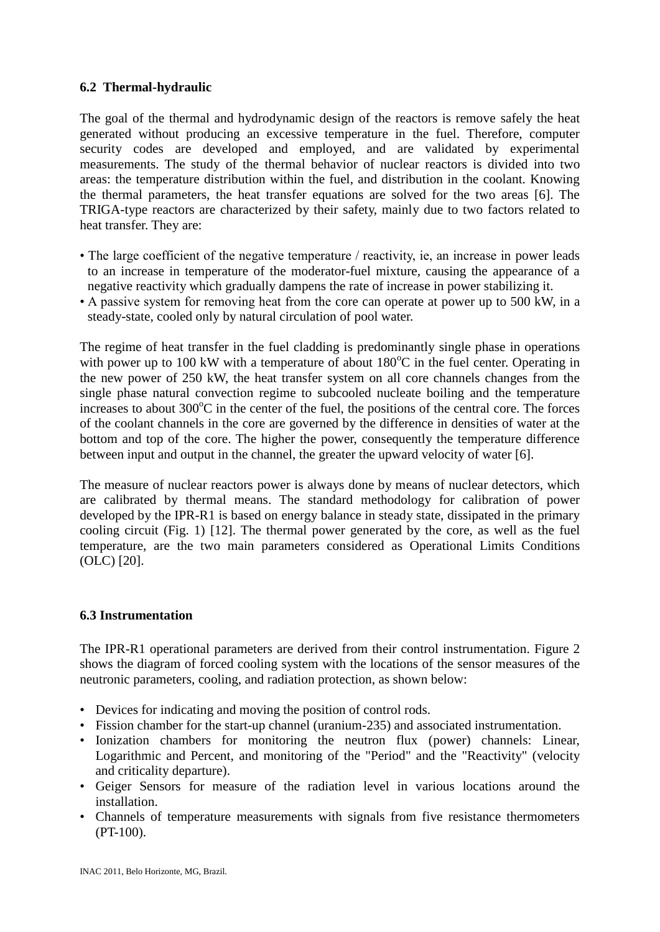# **6.2 Thermal-hydraulic**

The goal of the thermal and hydrodynamic design of the reactors is remove safely the heat generated without producing an excessive temperature in the fuel. Therefore, computer security codes are developed and employed, and are validated by experimental measurements. The study of the thermal behavior of nuclear reactors is divided into two areas: the temperature distribution within the fuel, and distribution in the coolant. Knowing the thermal parameters, the heat transfer equations are solved for the two areas [6]. The TRIGA-type reactors are characterized by their safety, mainly due to two factors related to heat transfer. They are:

- The large coefficient of the negative temperature / reactivity, ie, an increase in power leads to an increase in temperature of the moderator-fuel mixture, causing the appearance of a negative reactivity which gradually dampens the rate of increase in power stabilizing it.
- A passive system for removing heat from the core can operate at power up to 500 kW, in a steady-state, cooled only by natural circulation of pool water.

The regime of heat transfer in the fuel cladding is predominantly single phase in operations with power up to 100 kW with a temperature of about  $180^{\circ}$ C in the fuel center. Operating in the new power of 250 kW, the heat transfer system on all core channels changes from the single phase natural convection regime to subcooled nucleate boiling and the temperature increases to about  $300^{\circ}$ C in the center of the fuel, the positions of the central core. The forces of the coolant channels in the core are governed by the difference in densities of water at the bottom and top of the core. The higher the power, consequently the temperature difference between input and output in the channel, the greater the upward velocity of water [6].

The measure of nuclear reactors power is always done by means of nuclear detectors, which are calibrated by thermal means. The standard methodology for calibration of power developed by the IPR-R1 is based on energy balance in steady state, dissipated in the primary cooling circuit (Fig. 1) [12]. The thermal power generated by the core, as well as the fuel temperature, are the two main parameters considered as Operational Limits Conditions (OLC) [20].

## **6.3 Instrumentation**

The IPR-R1 operational parameters are derived from their control instrumentation. Figure 2 shows the diagram of forced cooling system with the locations of the sensor measures of the neutronic parameters, cooling, and radiation protection, as shown below:

- Devices for indicating and moving the position of control rods.
- Fission chamber for the start-up channel (uranium-235) and associated instrumentation.
- Ionization chambers for monitoring the neutron flux (power) channels: Linear, Logarithmic and Percent, and monitoring of the "Period" and the "Reactivity" (velocity and criticality departure).
- Geiger Sensors for measure of the radiation level in various locations around the installation.
- Channels of temperature measurements with signals from five resistance thermometers (PT-100).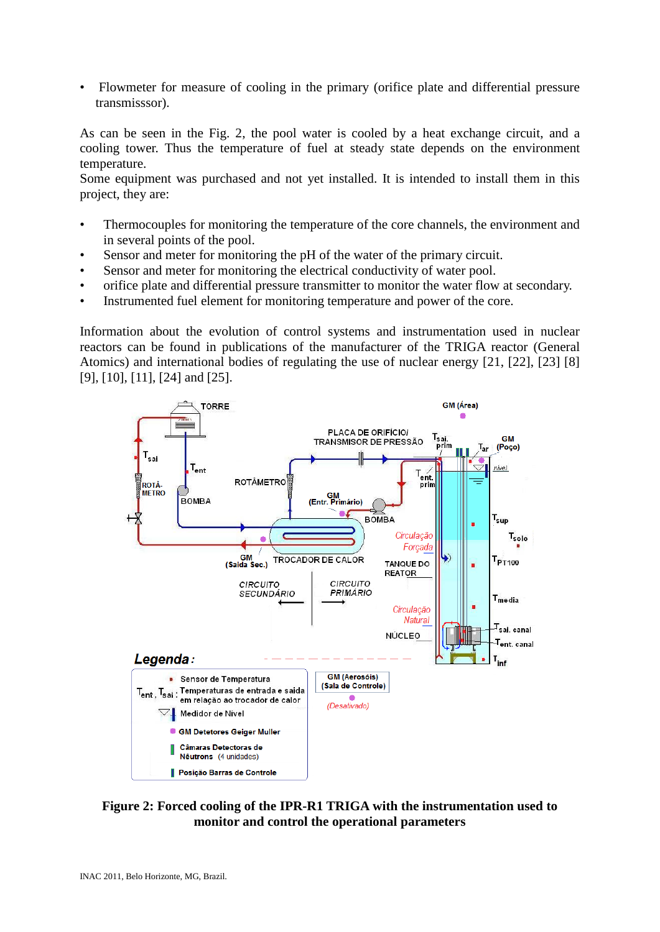• Flowmeter for measure of cooling in the primary (orifice plate and differential pressure transmisssor).

As can be seen in the Fig. 2, the pool water is cooled by a heat exchange circuit, and a cooling tower. Thus the temperature of fuel at steady state depends on the environment temperature.

Some equipment was purchased and not yet installed. It is intended to install them in this project, they are:

- Thermocouples for monitoring the temperature of the core channels, the environment and in several points of the pool.
- Sensor and meter for monitoring the pH of the water of the primary circuit.
- Sensor and meter for monitoring the electrical conductivity of water pool.
- orifice plate and differential pressure transmitter to monitor the water flow at secondary.
- Instrumented fuel element for monitoring temperature and power of the core.

Information about the evolution of control systems and instrumentation used in nuclear reactors can be found in publications of the manufacturer of the TRIGA reactor (General Atomics) and international bodies of regulating the use of nuclear energy [21, [22], [23] [8] [9], [10], [11], [24] and [25].



**Figure 2: Forced cooling of the IPR-R1 TRIGA with the instrumentation used to monitor and control the operational parameters**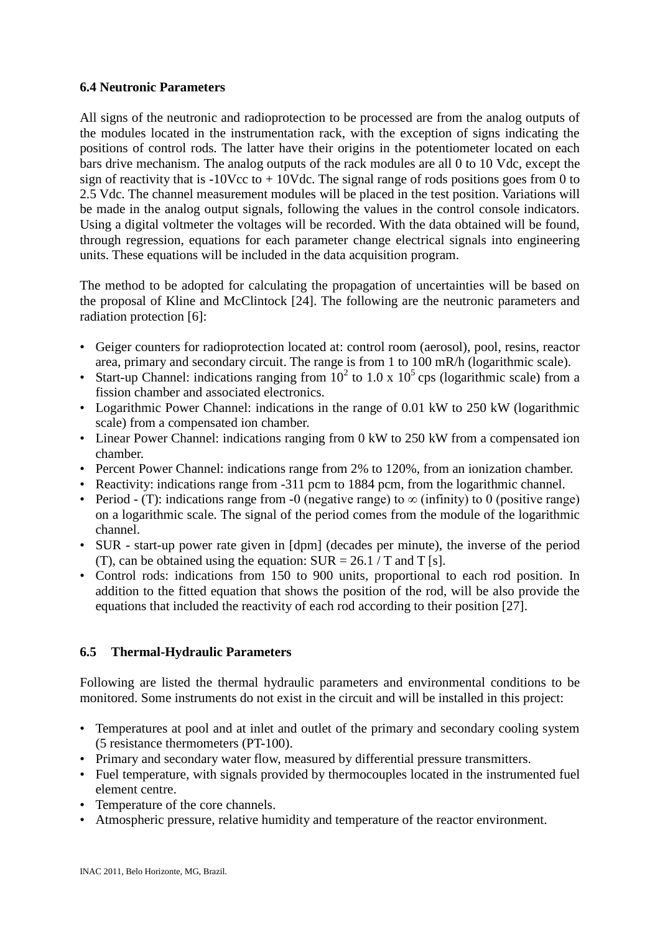## **6.4 Neutronic Parameters**

All signs of the neutronic and radioprotection to be processed are from the analog outputs of the modules located in the instrumentation rack, with the exception of signs indicating the positions of control rods. The latter have their origins in the potentiometer located on each bars drive mechanism. The analog outputs of the rack modules are all 0 to 10 Vdc, except the sign of reactivity that is  $-10\text{Vcc}$  to  $+10\text{Vdc}$ . The signal range of rods positions goes from 0 to 2.5 Vdc. The channel measurement modules will be placed in the test position. Variations will be made in the analog output signals, following the values in the control console indicators. Using a digital voltmeter the voltages will be recorded. With the data obtained will be found, through regression, equations for each parameter change electrical signals into engineering units. These equations will be included in the data acquisition program.

The method to be adopted for calculating the propagation of uncertainties will be based on the proposal of Kline and McClintock [24]. The following are the neutronic parameters and radiation protection [6]:

- Geiger counters for radioprotection located at: control room (aerosol), pool, resins, reactor area, primary and secondary circuit. The range is from 1 to 100 mR/h (logarithmic scale).
- Start-up Channel: indications ranging from  $10^2$  to  $1.0 \times 10^5$  cps (logarithmic scale) from a fission chamber and associated electronics.
- Logarithmic Power Channel: indications in the range of 0.01 kW to 250 kW (logarithmic scale) from a compensated ion chamber.
- Linear Power Channel: indications ranging from 0 kW to 250 kW from a compensated ion chamber.
- Percent Power Channel: indications range from 2% to 120%, from an ionization chamber.
- Reactivity: indications range from -311 pcm to 1884 pcm, from the logarithmic channel.
- Period (T): indications range from -0 (negative range) to  $\infty$  (infinity) to 0 (positive range) on a logarithmic scale. The signal of the period comes from the module of the logarithmic channel.
- SUR start-up power rate given in [dpm] (decades per minute), the inverse of the period (T), can be obtained using the equation:  $SUR = 26.1 / T$  and T [s].
- Control rods: indications from 150 to 900 units, proportional to each rod position. In addition to the fitted equation that shows the position of the rod, will be also provide the equations that included the reactivity of each rod according to their position [27].

# **6.5 Thermal-Hydraulic Parameters**

Following are listed the thermal hydraulic parameters and environmental conditions to be monitored. Some instruments do not exist in the circuit and will be installed in this project:

- Temperatures at pool and at inlet and outlet of the primary and secondary cooling system (5 resistance thermometers (PT-100).
- Primary and secondary water flow, measured by differential pressure transmitters.
- Fuel temperature, with signals provided by thermocouples located in the instrumented fuel element centre.
- Temperature of the core channels.
- Atmospheric pressure, relative humidity and temperature of the reactor environment.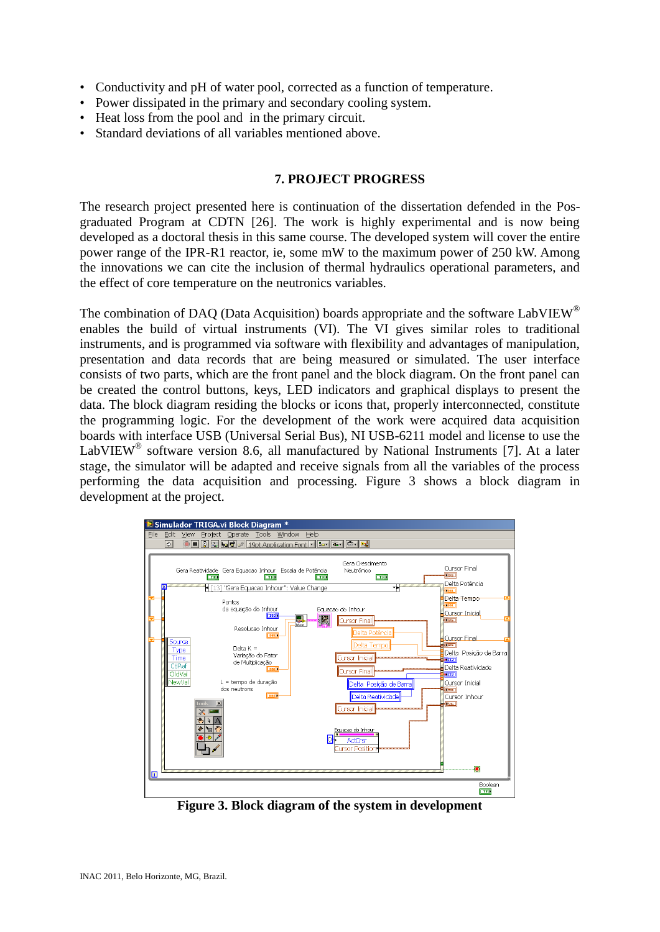- Conductivity and pH of water pool, corrected as a function of temperature.
- Power dissipated in the primary and secondary cooling system.
- Heat loss from the pool and in the primary circuit.
- Standard deviations of all variables mentioned above.

## **7. PROJECT PROGRESS**

The research project presented here is continuation of the dissertation defended in the Posgraduated Program at CDTN [26]. The work is highly experimental and is now being developed as a doctoral thesis in this same course. The developed system will cover the entire power range of the IPR-R1 reactor, ie, some mW to the maximum power of 250 kW. Among the innovations we can cite the inclusion of thermal hydraulics operational parameters, and the effect of core temperature on the neutronics variables.

The combination of DAQ (Data Acquisition) boards appropriate and the software LabVIEW<sup>®</sup> enables the build of virtual instruments (VI). The VI gives similar roles to traditional instruments, and is programmed via software with flexibility and advantages of manipulation, presentation and data records that are being measured or simulated. The user interface consists of two parts, which are the front panel and the block diagram. On the front panel can be created the control buttons, keys, LED indicators and graphical displays to present the data. The block diagram residing the blocks or icons that, properly interconnected, constitute the programming logic. For the development of the work were acquired data acquisition boards with interface USB (Universal Serial Bus), NI USB-6211 model and license to use the LabVIEW<sup>®</sup> software version 8.6, all manufactured by National Instruments [7]. At a later stage, the simulator will be adapted and receive signals from all the variables of the process performing the data acquisition and processing. Figure 3 shows a block diagram in development at the project.



**Figure 3. Block diagram of the system in development**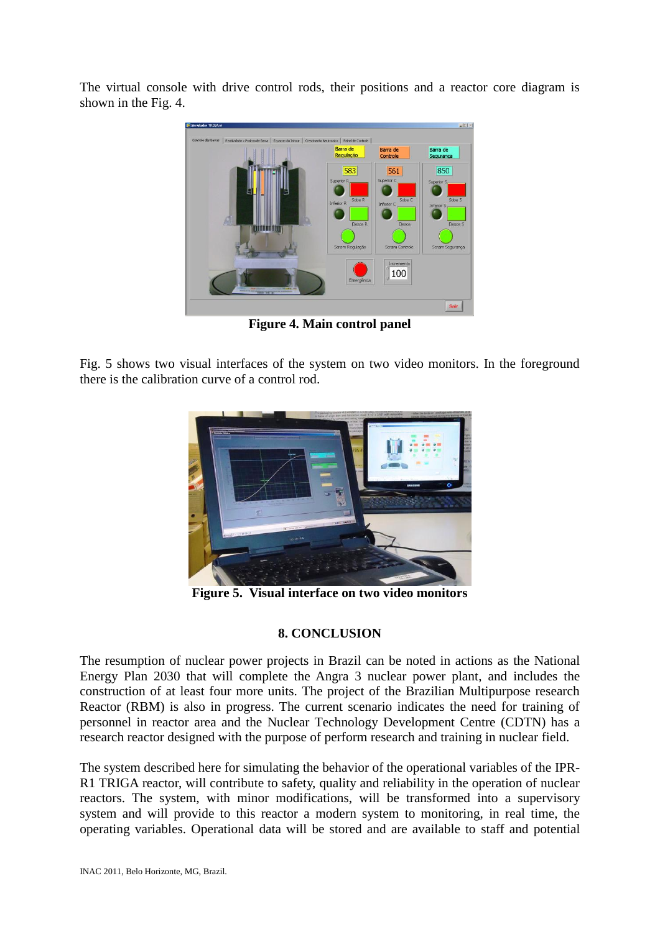The virtual console with drive control rods, their positions and a reactor core diagram is shown in the Fig. 4.



**Figure 4. Main control panel**

Fig. 5 shows two visual interfaces of the system on two video monitors. In the foreground there is the calibration curve of a control rod.



**Figure 5. Visual interface on two video monitors**

# **8. CONCLUSION**

The resumption of nuclear power projects in Brazil can be noted in actions as the National Energy Plan 2030 that will complete the Angra 3 nuclear power plant, and includes the construction of at least four more units. The project of the Brazilian Multipurpose research Reactor (RBM) is also in progress. The current scenario indicates the need for training of personnel in reactor area and the Nuclear Technology Development Centre (CDTN) has a research reactor designed with the purpose of perform research and training in nuclear field.

The system described here for simulating the behavior of the operational variables of the IPR-R1 TRIGA reactor, will contribute to safety, quality and reliability in the operation of nuclear reactors. The system, with minor modifications, will be transformed into a supervisory system and will provide to this reactor a modern system to monitoring, in real time, the operating variables. Operational data will be stored and are available to staff and potential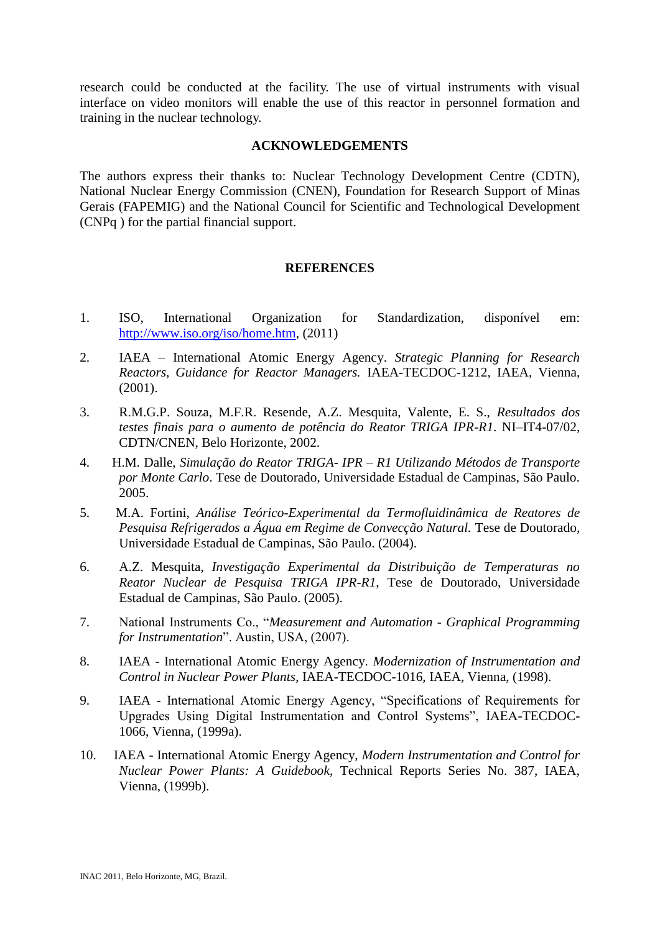research could be conducted at the facility. The use of virtual instruments with visual interface on video monitors will enable the use of this reactor in personnel formation and training in the nuclear technology.

# **ACKNOWLEDGEMENTS**

The authors express their thanks to: Nuclear Technology Development Centre (CDTN), National Nuclear Energy Commission (CNEN), Foundation for Research Support of Minas Gerais (FAPEMIG) and the National Council for Scientific and Technological Development (CNPq ) for the partial financial support.

# **REFERENCES**

- 1. ISO, International Organization for Standardization, disponível em: [http://www.iso.org/iso/home.htm,](http://www.iso.org/iso/home.htm) (2011)
- 2. IAEA International Atomic Energy Agency. *Strategic Planning for Research Reactors, Guidance for Reactor Managers.* IAEA-TECDOC-1212, IAEA, Vienna, (2001).
- 3. R.M.G.P. Souza, M.F.R. Resende, A.Z. Mesquita, Valente, E. S., *Resultados dos testes finais para o aumento de potência do Reator TRIGA IPR-R1*. NI–IT4-07/02, CDTN/CNEN, Belo Horizonte, 2002.
- 4. H.M*.* Dalle, *Simulação do Reator TRIGA- IPR – R1 Utilizando Métodos de Transporte por Monte Carlo*. Tese de Doutorado, Universidade Estadual de Campinas, São Paulo. 2005.
- 5. M.A. Fortini, *Análise Teórico-Experimental da Termofluidinâmica de Reatores de Pesquisa Refrigerados a Água em Regime de Convecção Natural.* Tese de Doutorado*,*  Universidade Estadual de Campinas, São Paulo. (2004).
- 6. A.Z. Mesquita, *Investigação Experimental da Distribuição de Temperaturas no Reator Nuclear de Pesquisa TRIGA IPR-R1*, Tese de Doutorado, Universidade Estadual de Campinas, São Paulo. (2005).
- 7. National Instruments Co., "*Measurement and Automation - Graphical Programming for Instrumentation*". Austin, USA, (2007).
- 8. IAEA International Atomic Energy Agency. *Modernization of Instrumentation and Control in Nuclear Power Plants*, IAEA-TECDOC-1016, IAEA, Vienna, (1998).
- 9. IAEA International Atomic Energy Agency, "Specifications of Requirements for Upgrades Using Digital Instrumentation and Control Systems", IAEA-TECDOC-1066, Vienna, (1999a).
- 10. IAEA International Atomic Energy Agency, *Modern Instrumentation and Control for Nuclear Power Plants: A Guidebook*, Technical Reports Series No. 387, IAEA, Vienna, (1999b).